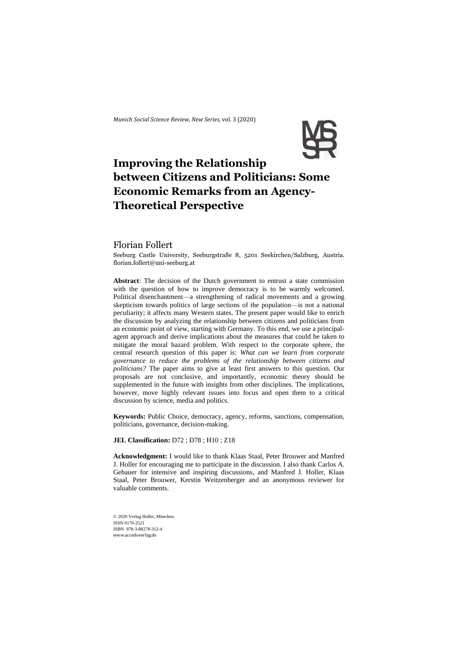*Munich Social Science Review*, *New Series,* vol. 3 (2020)



# **Improving the Relationship between Citizens and Politicians: Some Economic Remarks from an Agency-Theoretical Perspective**

# Florian Follert

Seeburg Castle University, Seeburgstraße 8, 5201 Seekirchen/Salzburg, Austria. florian.follert@uni-seeburg.at

**Abstract**: The decision of the Dutch government to entrust a state commission with the question of how to improve democracy is to be warmly welcomed. Political disenchantment—a strengthening of radical movements and a growing skepticism towards politics of large sections of the population—is not a national peculiarity; it affects many Western states. The present paper would like to enrich the discussion by analyzing the relationship between citizens and politicians from an economic point of view, starting with Germany. To this end, we use a principalagent approach and derive implications about the measures that could be taken to mitigate the moral hazard problem. With respect to the corporate sphere, the central research question of this paper is: *What can we learn from corporate governance to reduce the problems of the relationship between citizens and politicians?* The paper aims to give at least first answers to this question. Our proposals are not conclusive, and importantly, economic theory should be supplemented in the future with insights from other disciplines. The implications, however, move highly relevant issues into focus and open them to a critical discussion by science, media and politics.

**Keywords:** Public Choice, democracy, agency, reforms, sanctions, compensation, politicians, governance, decision-making.

**JEL Classification:** D72 ; D78 ; H10 ; Z18

**Acknowledgment:** I would like to thank Klaas Staal, Peter Brouwer and Manfred J. Holler for encouraging me to participate in the discussion. I also thank Carlos A. Gebauer for intensive and inspiring discussions, and Manfred J. Holler, Klaas Staal, Peter Brouwer, Kerstin Weitzenberger and an anonymous reviewer for valuable comments.

© 2020 Verlag Holler, München. ISSN 0170-2521 ISBN 978-3-88278-312-4 www.accedoverlag.de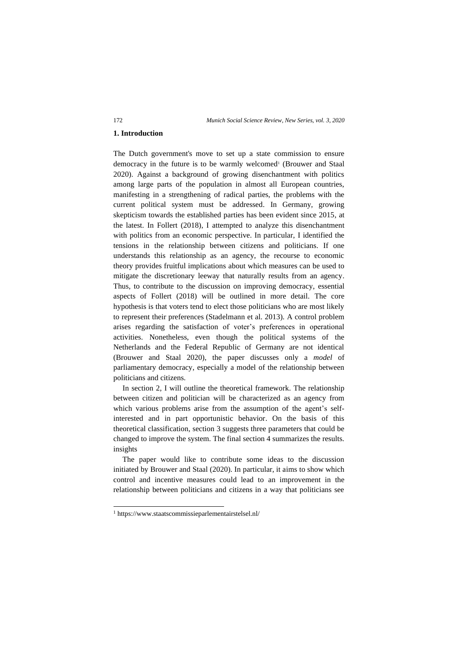# **1. Introduction**

The Dutch government's move to set up a state commission to ensure democracy in the future is to be warmly welcomed<sup>1</sup> (Brouwer and Staal 2020). Against a background of growing disenchantment with politics among large parts of the population in almost all European countries, manifesting in a strengthening of radical parties, the problems with the current political system must be addressed. In Germany, growing skepticism towards the established parties has been evident since 2015, at the latest. In Follert (2018), I attempted to analyze this disenchantment with politics from an economic perspective. In particular, I identified the tensions in the relationship between citizens and politicians. If one understands this relationship as an agency, the recourse to economic theory provides fruitful implications about which measures can be used to mitigate the discretionary leeway that naturally results from an agency. Thus, to contribute to the discussion on improving democracy, essential aspects of Follert (2018) will be outlined in more detail. The core hypothesis is that voters tend to elect those politicians who are most likely to represent their preferences (Stadelmann et al. 2013). A control problem arises regarding the satisfaction of voter's preferences in operational activities. Nonetheless, even though the political systems of the Netherlands and the Federal Republic of Germany are not identical (Brouwer and Staal 2020), the paper discusses only a *model* of parliamentary democracy, especially a model of the relationship between politicians and citizens.

In section 2, I will outline the theoretical framework. The relationship between citizen and politician will be characterized as an agency from which various problems arise from the assumption of the agent's selfinterested and in part opportunistic behavior. On the basis of this theoretical classification, section 3 suggests three parameters that could be changed to improve the system. The final section 4 summarizes the results. insights

The paper would like to contribute some ideas to the discussion initiated by Brouwer and Staal (2020). In particular, it aims to show which control and incentive measures could lead to an improvement in the relationship between politicians and citizens in a way that politicians see

<sup>1</sup> [https://www.](https://www/)staatscommissieparlementairstelsel.nl/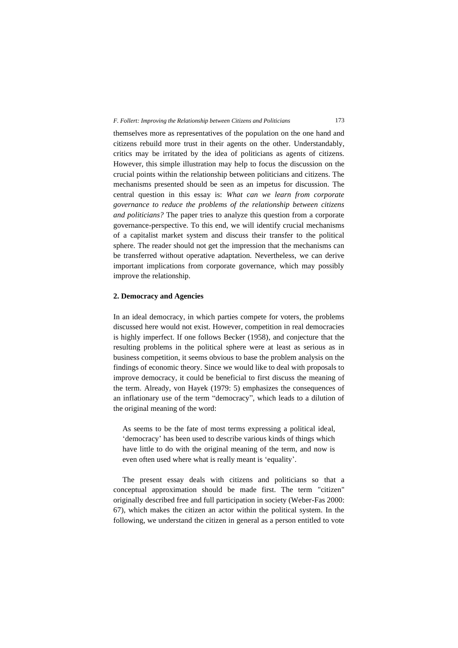themselves more as representatives of the population on the one hand and citizens rebuild more trust in their agents on the other. Understandably, critics may be irritated by the idea of politicians as agents of citizens. However, this simple illustration may help to focus the discussion on the crucial points within the relationship between politicians and citizens. The mechanisms presented should be seen as an impetus for discussion. The central question in this essay is: *What can we learn from corporate governance to reduce the problems of the relationship between citizens and politicians?* The paper tries to analyze this question from a corporate governance-perspective. To this end, we will identify crucial mechanisms of a capitalist market system and discuss their transfer to the political sphere. The reader should not get the impression that the mechanisms can be transferred without operative adaptation. Nevertheless, we can derive important implications from corporate governance, which may possibly improve the relationship.

# **2. Democracy and Agencies**

In an ideal democracy, in which parties compete for voters, the problems discussed here would not exist. However, competition in real democracies is highly imperfect. If one follows Becker (1958), and conjecture that the resulting problems in the political sphere were at least as serious as in business competition, it seems obvious to base the problem analysis on the findings of economic theory. Since we would like to deal with proposals to improve democracy, it could be beneficial to first discuss the meaning of the term. Already, von Hayek (1979: 5) emphasizes the consequences of an inflationary use of the term "democracy", which leads to a dilution of the original meaning of the word:

As seems to be the fate of most terms expressing a political ideal, 'democracy' has been used to describe various kinds of things which have little to do with the original meaning of the term, and now is even often used where what is really meant is 'equality'.

The present essay deals with citizens and politicians so that a conceptual approximation should be made first. The term "citizen" originally described free and full participation in society (Weber-Fas 2000: 67), which makes the citizen an actor within the political system. In the following, we understand the citizen in general as a person entitled to vote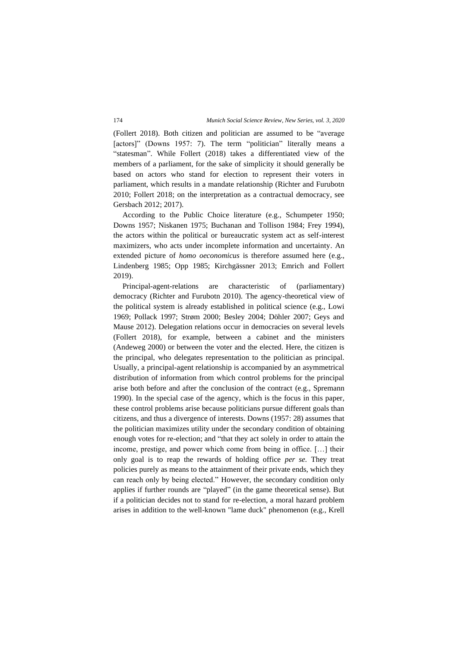(Follert 2018). Both citizen and politician are assumed to be "average [actors]" (Downs 1957: 7). The term "politician" literally means a "statesman". While Follert (2018) takes a differentiated view of the members of a parliament, for the sake of simplicity it should generally be based on actors who stand for election to represent their voters in parliament, which results in a mandate relationship (Richter and Furubotn 2010; Follert 2018; on the interpretation as a contractual democracy, see Gersbach 2012; 2017).

According to the Public Choice literature (e.g., Schumpeter 1950; Downs 1957; Niskanen 1975; Buchanan and Tollison 1984; Frey 1994), the actors within the political or bureaucratic system act as self-interest maximizers, who acts under incomplete information and uncertainty. An extended picture of *homo oeconomicus* is therefore assumed here (e.g., Lindenberg 1985; Opp 1985; Kirchgässner 2013; Emrich and Follert 2019).

Principal-agent-relations are characteristic of (parliamentary) democracy (Richter and Furubotn 2010). The agency-theoretical view of the political system is already established in political science (e.g., Lowi 1969; Pollack 1997; Strøm 2000; Besley 2004; Döhler 2007; Geys and Mause 2012). Delegation relations occur in democracies on several levels (Follert 2018), for example, between a cabinet and the ministers (Andeweg 2000) or between the voter and the elected. Here, the citizen is the principal, who delegates representation to the politician as principal. Usually, a principal-agent relationship is accompanied by an asymmetrical distribution of information from which control problems for the principal arise both before and after the conclusion of the contract (e.g., Spremann 1990). In the special case of the agency, which is the focus in this paper, these control problems arise because politicians pursue different goals than citizens, and thus a divergence of interests. Downs (1957: 28) assumes that the politician maximizes utility under the secondary condition of obtaining enough votes for re-election; and "that they act solely in order to attain the income, prestige, and power which come from being in office. […] their only goal is to reap the rewards of holding office *per se.* They treat policies purely as means to the attainment of their private ends, which they can reach only by being elected." However, the secondary condition only applies if further rounds are "played" (in the game theoretical sense). But if a politician decides not to stand for re-election, a moral hazard problem arises in addition to the well-known "lame duck" phenomenon (e.g., Krell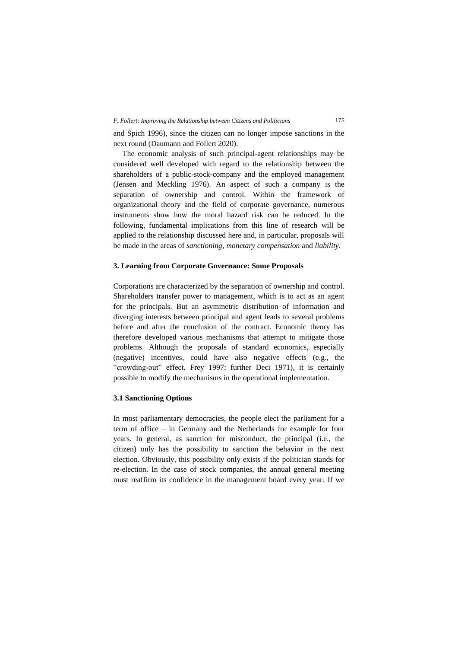and Spich 1996), since the citizen can no longer impose sanctions in the next round (Daumann and Follert 2020).

The economic analysis of such principal-agent relationships may be considered well developed with regard to the relationship between the shareholders of a public-stock-company and the employed management (Jensen and Meckling 1976). An aspect of such a company is the separation of ownership and control. Within the framework of organizational theory and the field of corporate governance, numerous instruments show how the moral hazard risk can be reduced. In the following, fundamental implications from this line of research will be applied to the relationship discussed here and, in particular, proposals will be made in the areas of *sanctioning*, *monetary compensation* and *liability*.

# **3. Learning from Corporate Governance: Some Proposals**

Corporations are characterized by the separation of ownership and control. Shareholders transfer power to management, which is to act as an agent for the principals. But an asymmetric distribution of information and diverging interests between principal and agent leads to several problems before and after the conclusion of the contract. Economic theory has therefore developed various mechanisms that attempt to mitigate those problems. Although the proposals of standard economics, especially (negative) incentives, could have also negative effects (e.g., the "crowding-out" effect, Frey 1997; further Deci 1971), it is certainly possible to modify the mechanisms in the operational implementation.

# **3.1 Sanctioning Options**

In most parliamentary democracies, the people elect the parliament for a term of office – in Germany and the Netherlands for example for four years. In general, as sanction for misconduct, the principal (i.e., the citizen) only has the possibility to sanction the behavior in the next election. Obviously, this possibility only exists if the politician stands for re-election. In the case of stock companies, the annual general meeting must reaffirm its confidence in the management board every year. If we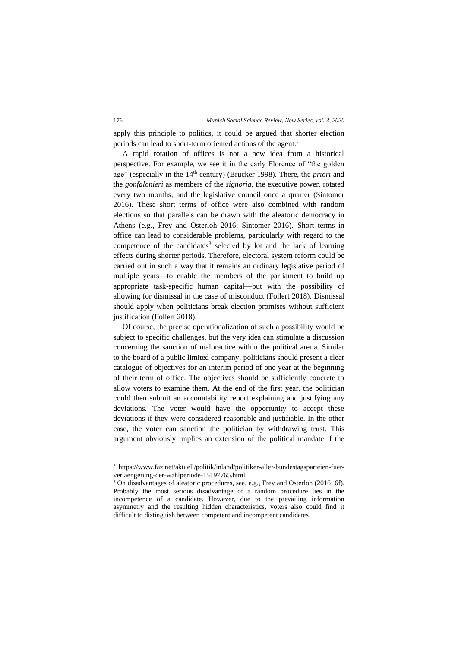apply this principle to politics, it could be argued that shorter election periods can lead to short-term oriented actions of the agent.<sup>2</sup>

A rapid rotation of offices is not a new idea from a historical perspective. For example, we see it in the early Florence of "the golden age" (especially in the 14th century) (Brucker 1998). There, the *priori* and the *gonfalonieri* as members of the *signoria,* the executive power, rotated every two months, and the legislative council once a quarter (Sintomer 2016). These short terms of office were also combined with random elections so that parallels can be drawn with the aleatoric democracy in Athens (e.g., Frey and Osterloh 2016; Sintomer 2016). Short terms in office can lead to considerable problems, particularly with regard to the competence of the candidates<sup>3</sup> selected by lot and the lack of learning effects during shorter periods. Therefore, electoral system reform could be carried out in such a way that it remains an ordinary legislative period of multiple years—to enable the members of the parliament to build up appropriate task-specific human capital—but with the possibility of allowing for dismissal in the case of misconduct (Follert 2018). Dismissal should apply when politicians break election promises without sufficient justification (Follert 2018).

Of course, the precise operationalization of such a possibility would be subject to specific challenges, but the very idea can stimulate a discussion concerning the sanction of malpractice within the political arena. Similar to the board of a public limited company, politicians should present a clear catalogue of objectives for an interim period of one year at the beginning of their term of office. The objectives should be sufficiently concrete to allow voters to examine them. At the end of the first year, the politician could then submit an accountability report explaining and justifying any deviations. The voter would have the opportunity to accept these deviations if they were considered reasonable and justifiable. In the other case, the voter can sanction the politician by withdrawing trust. This argument obviously implies an extension of the political mandate if the

<sup>2</sup> [https://www.faz.net/aktuell/politik/inland/politiker-aller-bundestagsparteien-fuer](https://www.faz.net/aktuell/politik/inland/politiker-aller-bundestagsparteien-fuer-verlaengerung-der-wahlperiode-15197765.html)[verlaengerung-der-wahlperiode-15197765.html](https://www.faz.net/aktuell/politik/inland/politiker-aller-bundestagsparteien-fuer-verlaengerung-der-wahlperiode-15197765.html)

<sup>&</sup>lt;sup>3</sup> On disadvantages of aleatoric procedures, see, e.g., Frey and Osterloh (2016: 6f). Probably the most serious disadvantage of a random procedure lies in the incompetence of a candidate. However, due to the prevailing information asymmetry and the resulting hidden characteristics, voters also could find it difficult to distinguish between competent and incompetent candidates.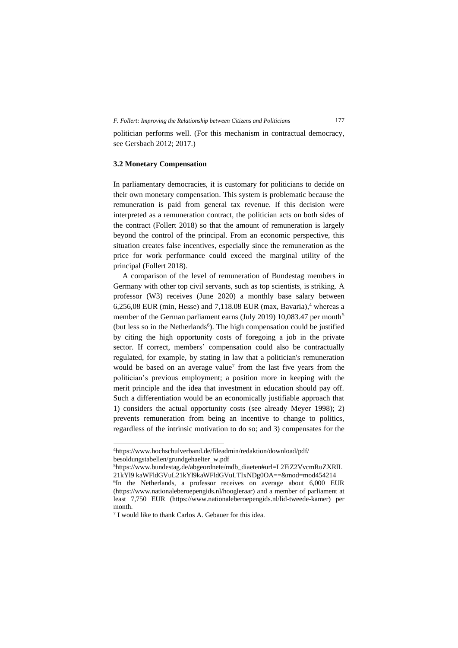politician performs well. (For this mechanism in contractual democracy, see Gersbach 2012; 2017.)

# **3.2 Monetary Compensation**

In parliamentary democracies, it is customary for politicians to decide on their own monetary compensation. This system is problematic because the remuneration is paid from general tax revenue. If this decision were interpreted as a remuneration contract, the politician acts on both sides of the contract (Follert 2018) so that the amount of remuneration is largely beyond the control of the principal. From an economic perspective, this situation creates false incentives, especially since the remuneration as the price for work performance could exceed the marginal utility of the principal (Follert 2018).

A comparison of the level of remuneration of Bundestag members in Germany with other top civil servants, such as top scientists, is striking. A professor (W3) receives (June 2020) a monthly base salary between 6,256,08 EUR (min, Hesse) and  $7,118.08$  EUR (max, Bavaria),<sup>4</sup> whereas a member of the German parliament earns (July 2019) 10,083.47 per month<sup>5</sup> (but less so in the Netherlands<sup>6</sup>). The high compensation could be justified by citing the high opportunity costs of foregoing a job in the private sector. If correct, members' compensation could also be contractually regulated, for example, by stating in law that a politician's remuneration would be based on an average value<sup>7</sup> from the last five years from the politician's previous employment; a position more in keeping with the merit principle and the idea that investment in education should pay off. Such a differentiation would be an economically justifiable approach that 1) considers the actual opportunity costs (see already Meyer 1998); 2) prevents remuneration from being an incentive to change to politics, regardless of the intrinsic motivation to do so; and 3) compensates for the

<sup>4</sup><https://www.hochschulverband.de/fileadmin/redaktion/download/pdf/> besoldungstabellen/grundgehaelter\_w.pdf

<sup>5</sup>[https://www.bundestag.de/abgeordnete/mdb\\_diaeten#url=L2FiZ2VvcmRuZXRlL](https://www.bundestag.de/abgeordnete/mdb_diaeten#url=L2FiZ2VvcmRuZXRlL21kYl9 kaWFldGVuL21kYl9kaWFldGVuLTIxNDg0OA==&mod=mod454214) 21kYl9 [kaWFldGVuL21kYl9kaWFldGVuLTIxNDg0OA==&mod=mod454214](https://www.bundestag.de/abgeordnete/mdb_diaeten#url=L2FiZ2VvcmRuZXRlL21kYl9 kaWFldGVuL21kYl9kaWFldGVuLTIxNDg0OA==&mod=mod454214)

<sup>&</sup>lt;sup>6</sup>In the Netherlands, a professor receives on average about 6,000 EUR [\(https://www.nationaleberoepengids.nl/hoogleraar\)](https://www.nationaleberoepengids.nl/hoogleraar) and a member of parliament at least 7,750 EUR (https://www.nationaleberoepengids.nl/lid-tweede-kamer) per month.

<sup>7</sup> I would like to thank Carlos A. Gebauer for this idea.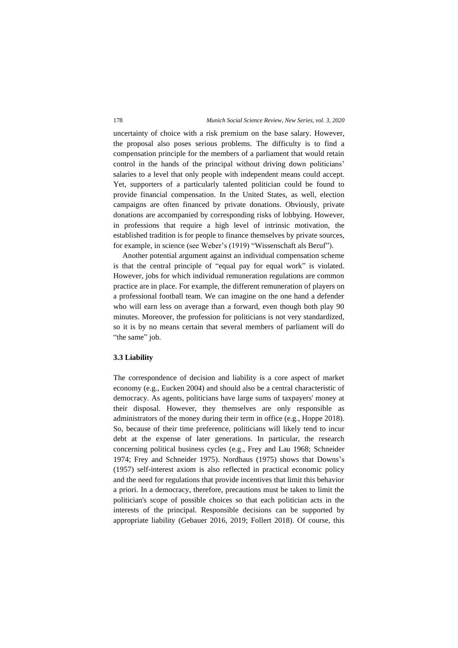uncertainty of choice with a risk premium on the base salary. However, the proposal also poses serious problems. The difficulty is to find a compensation principle for the members of a parliament that would retain control in the hands of the principal without driving down politicians' salaries to a level that only people with independent means could accept. Yet, supporters of a particularly talented politician could be found to provide financial compensation. In the United States, as well, election campaigns are often financed by private donations. Obviously, private donations are accompanied by corresponding risks of lobbying. However, in professions that require a high level of intrinsic motivation, the established tradition is for people to finance themselves by private sources, for example, in science (see Weber's (1919) "Wissenschaft als Beruf").

Another potential argument against an individual compensation scheme is that the central principle of "equal pay for equal work" is violated. However, jobs for which individual remuneration regulations are common practice are in place. For example, the different remuneration of players on a professional football team. We can imagine on the one hand a defender who will earn less on average than a forward, even though both play 90 minutes. Moreover, the profession for politicians is not very standardized, so it is by no means certain that several members of parliament will do "the same" job.

### **3.3 Liability**

The correspondence of decision and liability is a core aspect of market economy (e.g., Eucken 2004) and should also be a central characteristic of democracy. As agents, politicians have large sums of taxpayers' money at their disposal. However, they themselves are only responsible as administrators of the money during their term in office (e.g., Hoppe 2018). So, because of their time preference, politicians will likely tend to incur debt at the expense of later generations. In particular, the research concerning political business cycles (e.g., Frey and Lau 1968; Schneider 1974; Frey and Schneider 1975). Nordhaus (1975) shows that Downs's (1957) self-interest axiom is also reflected in practical economic policy and the need for regulations that provide incentives that limit this behavior a priori. In a democracy, therefore, precautions must be taken to limit the politician's scope of possible choices so that each politician acts in the interests of the principal. Responsible decisions can be supported by appropriate liability (Gebauer 2016, 2019; Follert 2018). Of course, this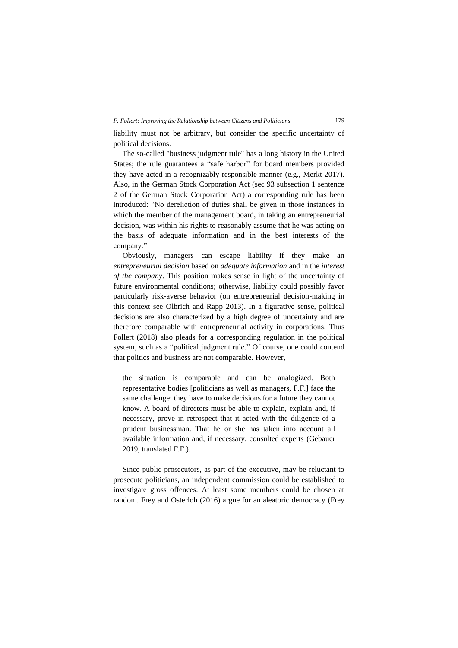#### *F. Follert: Improving the Relationship between Citizens and Politicians* 179

liability must not be arbitrary, but consider the specific uncertainty of political decisions.

The so-called "business judgment rule" has a long history in the United States; the rule guarantees a "safe harbor" for board members provided they have acted in a recognizably responsible manner (e.g., Merkt 2017). Also, in the German Stock Corporation Act (sec 93 subsection 1 sentence 2 of the German Stock Corporation Act) a corresponding rule has been introduced: "No dereliction of duties shall be given in those instances in which the member of the management board, in taking an entrepreneurial decision, was within his rights to reasonably assume that he was acting on the basis of adequate information and in the best interests of the company."

Obviously, managers can escape liability if they make an *entrepreneurial decision* based on *adequate information* and in the *interest of the company*. This position makes sense in light of the uncertainty of future environmental conditions; otherwise, liability could possibly favor particularly risk-averse behavior (on entrepreneurial decision-making in this context see Olbrich and Rapp 2013). In a figurative sense, political decisions are also characterized by a high degree of uncertainty and are therefore comparable with entrepreneurial activity in corporations. Thus Follert (2018) also pleads for a corresponding regulation in the political system, such as a "political judgment rule." Of course, one could contend that politics and business are not comparable. However,

the situation is comparable and can be analogized. Both representative bodies [politicians as well as managers, F.F.] face the same challenge: they have to make decisions for a future they cannot know. A board of directors must be able to explain, explain and, if necessary, prove in retrospect that it acted with the diligence of a prudent businessman. That he or she has taken into account all available information and, if necessary, consulted experts (Gebauer 2019, translated F.F.).

Since public prosecutors, as part of the executive, may be reluctant to prosecute politicians, an independent commission could be established to investigate gross offences. At least some members could be chosen at random. Frey and Osterloh (2016) argue for an aleatoric democracy (Frey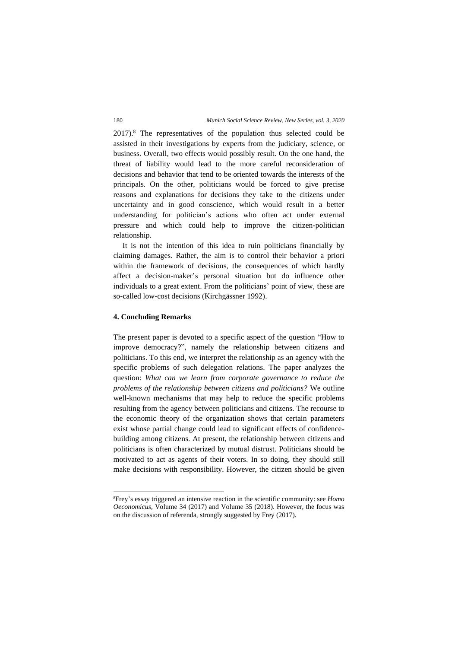2017).<sup>8</sup> The representatives of the population thus selected could be assisted in their investigations by experts from the judiciary, science, or business. Overall, two effects would possibly result. On the one hand, the threat of liability would lead to the more careful reconsideration of decisions and behavior that tend to be oriented towards the interests of the principals. On the other, politicians would be forced to give precise reasons and explanations for decisions they take to the citizens under uncertainty and in good conscience, which would result in a better understanding for politician's actions who often act under external pressure and which could help to improve the citizen-politician relationship.

It is not the intention of this idea to ruin politicians financially by claiming damages. Rather, the aim is to control their behavior a priori within the framework of decisions, the consequences of which hardly affect a decision-maker's personal situation but do influence other individuals to a great extent. From the politicians' point of view, these are so-called low-cost decisions (Kirchgässner 1992).

#### **4. Concluding Remarks**

The present paper is devoted to a specific aspect of the question "How to improve democracy?", namely the relationship between citizens and politicians. To this end, we interpret the relationship as an agency with the specific problems of such delegation relations. The paper analyzes the question: *What can we learn from corporate governance to reduce the problems of the relationship between citizens and politicians?* We outline well-known mechanisms that may help to reduce the specific problems resulting from the agency between politicians and citizens. The recourse to the economic theory of the organization shows that certain parameters exist whose partial change could lead to significant effects of confidencebuilding among citizens. At present, the relationship between citizens and politicians is often characterized by mutual distrust. Politicians should be motivated to act as agents of their voters. In so doing, they should still make decisions with responsibility. However, the citizen should be given

<sup>8</sup>Frey's essay triggered an intensive reaction in the scientific community: see *Homo Oeconomicus,* Volume 34 (2017) and Volume 35 (2018). However, the focus was on the discussion of referenda, strongly suggested by Frey (2017).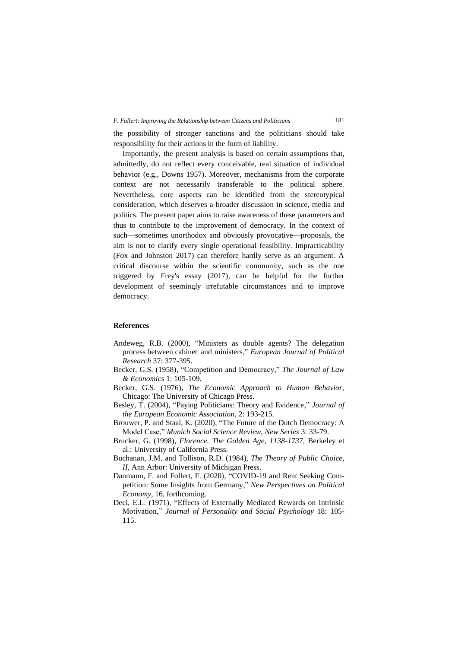the possibility of stronger sanctions and the politicians should take responsibility for their actions in the form of liability.

Importantly, the present analysis is based on certain assumptions that, admittedly, do not reflect every conceivable, real situation of individual behavior (e.g., Downs 1957). Moreover, mechanisms from the corporate context are not necessarily transferable to the political sphere. Nevertheless, core aspects can be identified from the stereotypical consideration, which deserves a broader discussion in science, media and politics. The present paper aims to raise awareness of these parameters and thus to contribute to the improvement of democracy. In the context of such—sometimes unorthodox and obviously provocative—proposals, the aim is not to clarify every single operational feasibility. Impracticability (Fox and Johnston 2017) can therefore hardly serve as an argument. A critical discourse within the scientific community, such as the one triggered by Frey's essay (2017), can be helpful for the further development of seemingly irrefutable circumstances and to improve democracy.

# **References**

- Andeweg, R.B. (2000), "Ministers as double agents? The delegation process between cabinet and ministers," *European Journal of Political Research* 37: 377-395.
- Becker, G.S. (1958), "Competition and Democracy," *The Journal of Law & Economics* 1: 105-109.
- Becker, G.S. (1976), *The Economic Approach to Human Behavior,* Chicago: The University of Chicago Press.
- Besley, T. (2004), "Paying Politicians: Theory and Evidence," *Journal of the European Economic Association*, 2: 193-215.
- Brouwer, P. and Staal, K. (2020), "The Future of the Dutch Democracy: A Model Case," *Munich Social Science Review, New Series* 3: 33-79.
- Brucker, G. (1998), *Florence. The Golden Age, 1138-1737,* Berkeley et al.: University of California Press.
- Buchanan, J.M. and Tollison, R.D. (1984), *The Theory of Public Choice, II,* Ann Arbor: University of Michigan Press.
- Daumann, F. and Follert, F. (2020), "COVID-19 and Rent Seeking Competition: Some Insights from Germany," *New Perspectives on Political Economy,* 16, forthcoming.
- Deci, E.L. (1971), "Effects of Externally Mediated Rewards on Intrinsic Motivation," *Journal of Personality and Social Psychology* 18: 105- 115.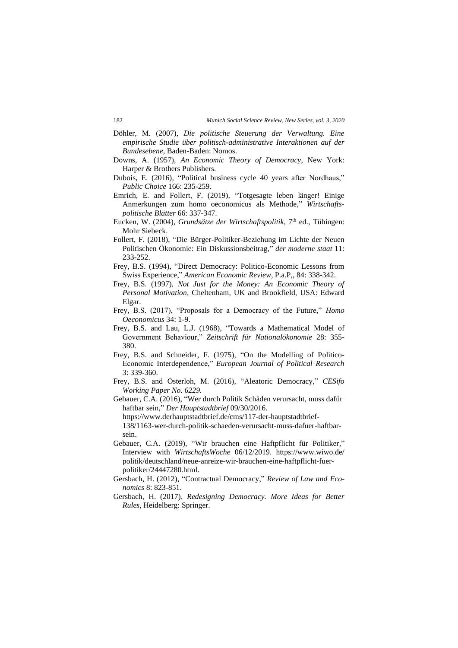- Döhler, M. (2007), *Die politische Steuerung der Verwaltung. Eine empirische Studie über politisch-administrative Interaktionen auf der Bundesebene*, Baden-Baden: Nomos.
- Downs, A. (1957), *An Economic Theory of Democracy*, New York: Harper & Brothers Publishers.
- Dubois, E. (2016), "Political business cycle 40 years after Nordhaus," *Public Choice* 166: 235-259.
- Emrich, E. and Follert, F. (2019), "Totgesagte leben länger! Einige Anmerkungen zum homo oeconomicus als Methode," *Wirtschaftspolitische Blätter* 66: 337-347.
- Eucken, W. (2004), *Grundsätze der Wirtschaftspolitik*, 7<sup>th</sup> ed., Tübingen: Mohr Siebeck.
- Follert, F. (2018), "Die Bürger-Politiker-Beziehung im Lichte der Neuen Politischen Ökonomie: Ein Diskussionsbeitrag," *der moderne staat* 11: 233-252.
- Frey, B.S. (1994), "Direct Democracy: Politico-Economic Lessons from Swiss Experience," *American Economic Review*, P.a.P,, 84: 338-342.
- Frey, B.S. (1997), *Not Just for the Money: An Economic Theory of Personal Motivation,* Cheltenham, UK and Brookfield, USA: Edward Elgar.
- Frey, B.S. (2017), "Proposals for a Democracy of the Future," *Homo Oeconomicus* 34: 1-9.
- Frey, B.S. and Lau, L.J. (1968), "Towards a Mathematical Model of Government Behaviour," *Zeitschrift für Nationalökonomie* 28: 355- 380.
- Frey, B.S. and Schneider, F. (1975), "On the Modelling of Politico-Economic Interdependence," *European Journal of Political Research*  3: 339-360.
- Frey, B.S. and Osterloh, M. (2016), "Aleatoric Democracy," *CESifo Working Paper No. 6229.*
- Gebauer, C.A. (2016), "Wer durch Politik Schäden verursacht, muss dafür haftbar sein," *Der Hauptstadtbrief* 09/30/2016.

[https://www.derhauptstadtbrief.de/cms/117-der-hauptstadtbrief-](https://www.derhauptstadtbrief.de/cms/117-der-hauptstadtbrief-138/1163-wer-durch-politik-schaeden-verursacht-muss-dafuer-haftbar-sein)[138/1163-wer-durch-politik-schaeden-verursacht-muss-dafuer-haftbar](https://www.derhauptstadtbrief.de/cms/117-der-hauptstadtbrief-138/1163-wer-durch-politik-schaeden-verursacht-muss-dafuer-haftbar-sein)[sein.](https://www.derhauptstadtbrief.de/cms/117-der-hauptstadtbrief-138/1163-wer-durch-politik-schaeden-verursacht-muss-dafuer-haftbar-sein)

- Gebauer, C.A. (2019), "Wir brauchen eine Haftpflicht für Politiker," Interview with *WirtschaftsWoche* 06/12/2019. [https://www.wiwo.de/](https://www.wiwo.de/%20politik/deutschland/neue-anreize-wir-brauchen-eine-haftpflicht-fuer-politiker/24447280.html) [politik/deutschland/neue-anreize-wir-brauchen-eine-haftpflicht-fuer](https://www.wiwo.de/%20politik/deutschland/neue-anreize-wir-brauchen-eine-haftpflicht-fuer-politiker/24447280.html)[politiker/24447280.html.](https://www.wiwo.de/%20politik/deutschland/neue-anreize-wir-brauchen-eine-haftpflicht-fuer-politiker/24447280.html)
- Gersbach, H. (2012), "Contractual Democracy," *Review of Law and Economics* 8: 823-851.
- Gersbach, H. (2017), *Redesigning Democracy. More Ideas for Better Rules,* Heidelberg: Springer.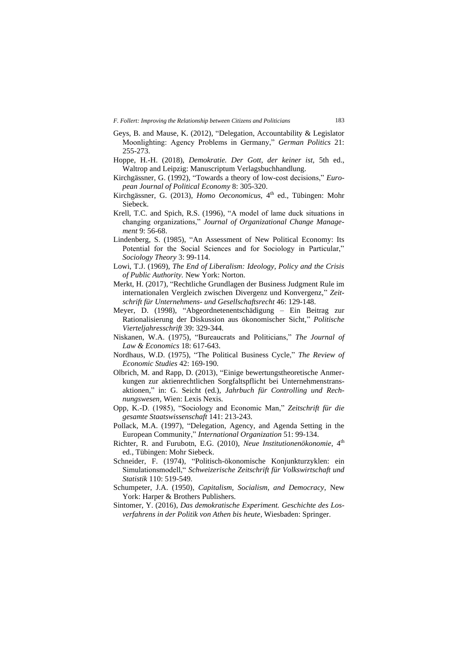- Geys, B. and Mause, K. (2012), "Delegation, Accountability & Legislator Moonlighting: Agency Problems in Germany," *German Politics* 21: 255-273.
- Hoppe, H.-H. (2018), *Demokratie. Der Gott, der keiner ist,* 5th ed., Waltrop and Leipzig: Manuscriptum Verlagsbuchhandlung.
- Kirchgässner, G. (1992), "Towards a theory of low-cost decisions," *European Journal of Political Economy* 8: 305-320.
- Kirchgässner, G. (2013), *Homo Oeconomicus*, 4<sup>th</sup> ed., Tübingen: Mohr Siebeck.
- Krell, T.C. and Spich, R.S. (1996), "A model of lame duck situations in changing organizations," *Journal of Organizational Change Management* 9: 56-68.
- Lindenberg, S. (1985), "An Assessment of New Political Economy: Its Potential for the Social Sciences and for Sociology in Particular," *Sociology Theory* 3: 99-114.
- Lowi, T.J. (1969), *The End of Liberalism: Ideology, Policy and the Crisis of Public Authority.* New York: Norton.
- Merkt, H. (2017), "Rechtliche Grundlagen der Business Judgment Rule im internationalen Vergleich zwischen Divergenz und Konvergenz," *Zeitschrift für Unternehmens- und Gesellschaftsrecht* 46: 129-148.
- Meyer, D. (1998), "Abgeordnetenentschädigung Ein Beitrag zur Rationalisierung der Diskussion aus ökonomischer Sicht," *Politische Vierteljahresschrift* 39: 329-344.
- Niskanen, W.A. (1975), "Bureaucrats and Politicians," *The Journal of Law & Economics* 18: 617-643.
- Nordhaus, W.D. (1975), "The Political Business Cycle," *The Review of Economic Studies* 42: 169-190.
- Olbrich, M. and Rapp, D. (2013), "Einige bewertungstheoretische Anmerkungen zur aktienrechtlichen Sorgfaltspflicht bei Unternehmenstransaktionen," in: G. Seicht (ed.), *Jahrbuch für Controlling und Rechnungswesen,* Wien: Lexis Nexis.
- Opp, K.-D. (1985), "Sociology and Economic Man," *Zeitschrift für die gesamte Staatswissenschaft* 141: 213-243.
- Pollack, M.A. (1997), "Delegation, Agency, and Agenda Setting in the European Community," *International Organization* 51: 99-134.
- Richter, R. and Furubotn, E.G. (2010), *Neue Institutionenökonomie*, 4th ed., Tübingen: Mohr Siebeck.
- Schneider, F. (1974), "Politisch-ökonomische Konjunkturzyklen: ein Simulationsmodell," *Schweizerische Zeitschrift für Volkswirtschaft und Statistik* 110: 519-549.
- Schumpeter, J.A. (1950), *Capitalism, Socialism, and Democracy,* New York: Harper & Brothers Publishers.
- Sintomer, Y. (2016), *Das demokratische Experiment. Geschichte des Losverfahrens in der Politik von Athen bis heute,* Wiesbaden: Springer.